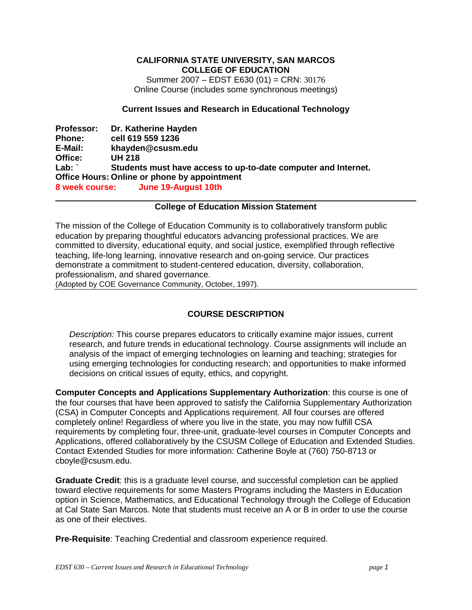#### **CALIFORNIA STATE UNIVERSITY, SAN MARCOS COLLEGE OF EDUCATION**

Summer 2007 – EDST E630 (01) = CRN: 30176 Online Course (includes some synchronous meetings)

#### **Current Issues and Research in Educational Technology**

**Professor: Dr. Katherine Hayden Phone: cell 619 559 1236 E-Mail: khayden@csusm.edu Office: UH 218 Lab: ` Students must have access to up-to-date computer and Internet. Office Hours: Online or phone by appointment 8 week course: June 19-August 10th** 

#### **College of Education Mission Statement**

The mission of the College of Education Community is to collaboratively transform public education by preparing thoughtful educators advancing professional practices. We are committed to diversity, educational equity, and social justice, exemplified through reflective teaching, life-long learning, innovative research and on-going service. Our practices demonstrate a commitment to student-centered education, diversity, collaboration, professionalism, and shared governance.

(Adopted by COE Governance Community, October, 1997).

## **COURSE DESCRIPTION**

*Description:* This course prepares educators to critically examine major issues, current research, and future trends in educational technology. Course assignments will include an analysis of the impact of emerging technologies on learning and teaching; strategies for using emerging technologies for conducting research; and opportunities to make informed decisions on critical issues of equity, ethics, and copyright.

**Computer Concepts and Applications Supplementary Authorization**: this course is one of the four courses that have been approved to satisfy the California Supplementary Authorization (CSA) in Computer Concepts and Applications requirement. All four courses are offered completely online! Regardless of where you live in the state, you may now fulfill CSA requirements by completing four, three-unit, graduate-level courses in Computer Concepts and Applications, offered collaboratively by the CSUSM College of Education and Extended Studies. Contact Extended Studies for more information: Catherine Boyle at (760) 750-8713 or cboyle@csusm.edu.

**Graduate Credit**: this is a graduate level course, and successful completion can be applied toward elective requirements for some Masters Programs including the Masters in Education option in Science, Mathematics, and Educational Technology through the College of Education at Cal State San Marcos. Note that students must receive an A or B in order to use the course as one of their electives.

**Pre-Requisite**: Teaching Credential and classroom experience required.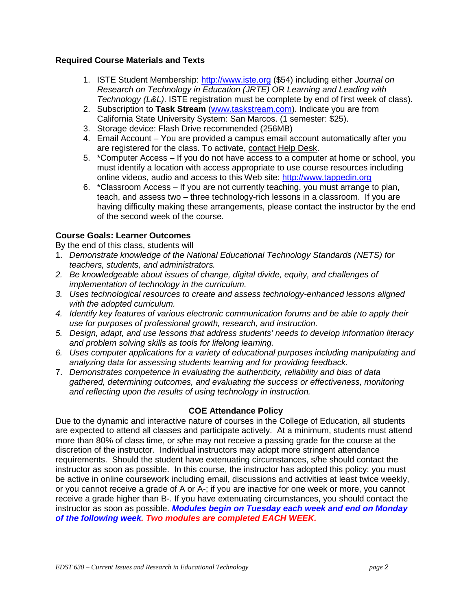## **Required Course Materials and Texts**

- 1. ISTE Student Membership: http://www.iste.org (\$54) including either *Journal on Research on Technology in Education (JRTE)* OR *Learning and Leading with Technology (L&L)*. ISTE registration must be complete by end of first week of class).
- 2. Subscription to **Task Stream** (www.taskstream.com). Indicate you are from California State University System: San Marcos. (1 semester: \$25).
- 3. Storage device: Flash Drive recommended (256MB)
- 4. Email Account You are provided a campus email account automatically after you are registered for the class. To activate, contact Help Desk.
- 5. \*Computer Access If you do not have access to a computer at home or school, you must identify a location with access appropriate to use course resources including online videos, audio and access to this Web site: http://www.tappedin.org
- 6. \*Classroom Access If you are not currently teaching, you must arrange to plan, teach, and assess two – three technology-rich lessons in a classroom. If you are having difficulty making these arrangements, please contact the instructor by the end of the second week of the course.

# **Course Goals: Learner Outcomes**

By the end of this class, students will

- 1. *Demonstrate knowledge of the National Educational Technology Standards (NETS) for teachers, students, and administrators.*
- *2. Be knowledgeable about issues of change, digital divide, equity, and challenges of implementation of technology in the curriculum.*
- *3. Uses technological resources to create and assess technology-enhanced lessons aligned with the adopted curriculum.*
- *4. Identify key features of various electronic communication forums and be able to apply their use for purposes of professional growth, research, and instruction.*
- *5. Design, adapt, and use lessons that address students' needs to develop information literacy and problem solving skills as tools for lifelong learning.*
- *6. Uses computer applications for a variety of educational purposes including manipulating and analyzing data for assessing students learning and for providing feedback.*
- 7. *Demonstrates competence in evaluating the authenticity, reliability and bias of data gathered, determining outcomes, and evaluating the success or effectiveness, monitoring and reflecting upon the results of using technology in instruction.*

## **COE Attendance Policy**

Due to the dynamic and interactive nature of courses in the College of Education, all students are expected to attend all classes and participate actively. At a minimum, students must attend more than 80% of class time, or s/he may not receive a passing grade for the course at the discretion of the instructor. Individual instructors may adopt more stringent attendance requirements. Should the student have extenuating circumstances, s/he should contact the instructor as soon as possible. In this course, the instructor has adopted this policy: you must be active in online coursework including email, discussions and activities at least twice weekly, or you cannot receive a grade of A or A-; if you are inactive for one week or more, you cannot receive a grade higher than B-. If you have extenuating circumstances, you should contact the instructor as soon as possible. *Modules begin on Tuesday each week and end on Monday of the following week. Two modules are completed EACH WEEK.*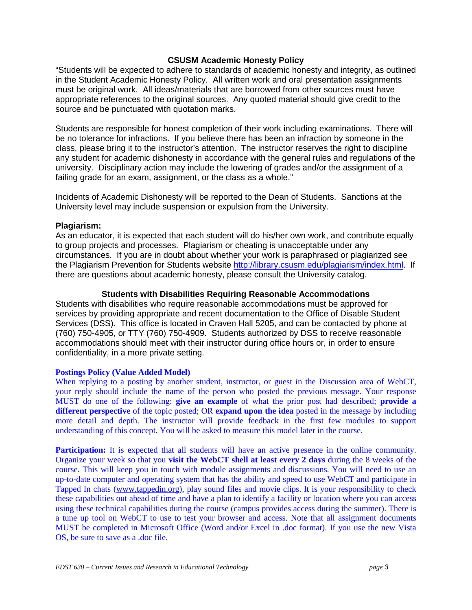#### **CSUSM Academic Honesty Policy**

"Students will be expected to adhere to standards of academic honesty and integrity, as outlined in the Student Academic Honesty Policy. All written work and oral presentation assignments must be original work. All ideas/materials that are borrowed from other sources must have appropriate references to the original sources. Any quoted material should give credit to the source and be punctuated with quotation marks.

Students are responsible for honest completion of their work including examinations. There will be no tolerance for infractions. If you believe there has been an infraction by someone in the class, please bring it to the instructor's attention. The instructor reserves the right to discipline any student for academic dishonesty in accordance with the general rules and regulations of the university. Disciplinary action may include the lowering of grades and/or the assignment of a failing grade for an exam, assignment, or the class as a whole."

Incidents of Academic Dishonesty will be reported to the Dean of Students. Sanctions at the University level may include suspension or expulsion from the University.

#### **Plagiarism:**

As an educator, it is expected that each student will do his/her own work, and contribute equally to group projects and processes. Plagiarism or cheating is unacceptable under any circumstances. If you are in doubt about whether your work is paraphrased or plagiarized see the Plagiarism Prevention for Students website http://library.csusm.edu/plagiarism/index.html. If there are questions about academic honesty, please consult the University catalog.

#### **Students with Disabilities Requiring Reasonable Accommodations**

Students with disabilities who require reasonable accommodations must be approved for services by providing appropriate and recent documentation to the Office of Disable Student Services (DSS). This office is located in Craven Hall 5205, and can be contacted by phone at (760) 750-4905, or TTY (760) 750-4909. Students authorized by DSS to receive reasonable accommodations should meet with their instructor during office hours or, in order to ensure confidentiality, in a more private setting.

#### **Postings Policy (Value Added Model)**

When replying to a posting by another student, instructor, or guest in the Discussion area of WebCT, your reply should include the name of the person who posted the previous message. Your response MUST do one of the following: **give an example** of what the prior post had described; **provide a different perspective** of the topic posted; OR **expand upon the idea** posted in the message by including more detail and depth. The instructor will provide feedback in the first few modules to support understanding of this concept. You will be asked to measure this model later in the course.

**Participation:** It is expected that all students will have an active presence in the online community. Organize your week so that you **visit the WebCT shell at least every 2 days** during the 8 weeks of the course. This will keep you in touch with module assignments and discussions. You will need to use an up-to-date computer and operating system that has the ability and speed to use WebCT and participate in Tapped In chats (www.tappedin.org), play sound files and movie clips. It is your responsibility to check these capabilities out ahead of time and have a plan to identify a facility or location where you can access using these technical capabilities during the course (campus provides access during the summer). There is a tune up tool on WebCT to use to test your browser and access. Note that all assignment documents MUST be completed in Microsoft Office (Word and/or Excel in .doc format). If you use the new Vista OS, be sure to save as a .doc file.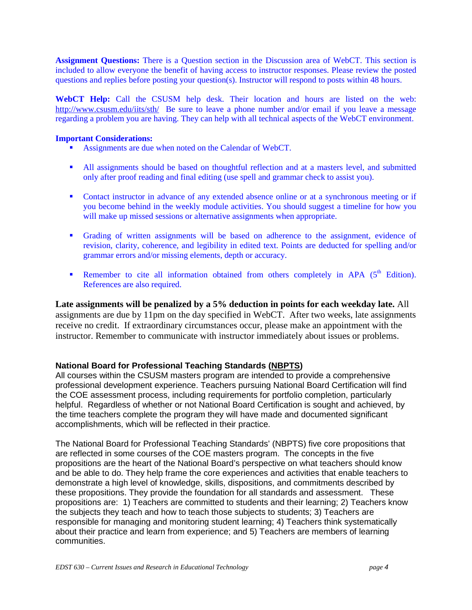**Assignment Questions:** There is a Question section in the Discussion area of WebCT. This section is included to allow everyone the benefit of having access to instructor responses. Please review the posted questions and replies before posting your question(s). Instructor will respond to posts within 48 hours.

**WebCT Help:** Call the CSUSM help desk. Their location and hours are listed on the web: http://www.csusm.edu/iits/sth/ Be sure to leave a phone number and/or email if you leave a message regarding a problem you are having. They can help with all technical aspects of the WebCT environment.

#### **Important Considerations:**

- Assignments are due when noted on the Calendar of WebCT.
- All assignments should be based on thoughtful reflection and at a masters level, and submitted only after proof reading and final editing (use spell and grammar check to assist you).
- Contact instructor in advance of any extended absence online or at a synchronous meeting or if you become behind in the weekly module activities. You should suggest a timeline for how you will make up missed sessions or alternative assignments when appropriate.
- Grading of written assignments will be based on adherence to the assignment, evidence of revision, clarity, coherence, and legibility in edited text. Points are deducted for spelling and/or grammar errors and/or missing elements, depth or accuracy.
- Remember to cite all information obtained from others completely in APA  $(5<sup>th</sup> Edition)$ . References are also required.

**Late assignments will be penalized by a 5% deduction in points for each weekday late.** All assignments are due by 11pm on the day specified in WebCT. After two weeks, late assignments receive no credit. If extraordinary circumstances occur, please make an appointment with the instructor. Remember to communicate with instructor immediately about issues or problems.

### **National Board for Professional Teaching Standards (NBPTS)**

All courses within the CSUSM masters program are intended to provide a comprehensive professional development experience. Teachers pursuing National Board Certification will find the COE assessment process, including requirements for portfolio completion, particularly helpful. Regardless of whether or not National Board Certification is sought and achieved, by the time teachers complete the program they will have made and documented significant accomplishments, which will be reflected in their practice.

The National Board for Professional Teaching Standards' (NBPTS) five core propositions that are reflected in some courses of the COE masters program. The concepts in the five propositions are the heart of the National Board's perspective on what teachers should know and be able to do. They help frame the core experiences and activities that enable teachers to demonstrate a high level of knowledge, skills, dispositions, and commitments described by these propositions. They provide the foundation for all standards and assessment. These propositions are: 1) Teachers are committed to students and their learning; 2) Teachers know the subjects they teach and how to teach those subjects to students; 3) Teachers are responsible for managing and monitoring student learning; 4) Teachers think systematically about their practice and learn from experience; and 5) Teachers are members of learning communities.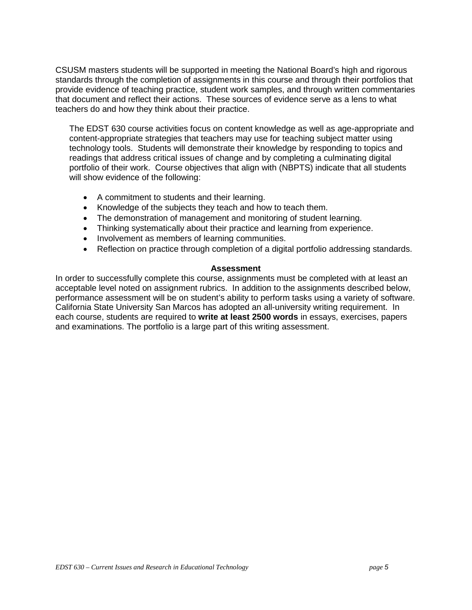CSUSM masters students will be supported in meeting the National Board's high and rigorous standards through the completion of assignments in this course and through their portfolios that provide evidence of teaching practice, student work samples, and through written commentaries that document and reflect their actions. These sources of evidence serve as a lens to what teachers do and how they think about their practice.

The EDST 630 course activities focus on content knowledge as well as age-appropriate and content-appropriate strategies that teachers may use for teaching subject matter using technology tools. Students will demonstrate their knowledge by responding to topics and readings that address critical issues of change and by completing a culminating digital portfolio of their work. Course objectives that align with (NBPTS) indicate that all students will show evidence of the following:

- A commitment to students and their learning.
- Knowledge of the subjects they teach and how to teach them.
- The demonstration of management and monitoring of student learning.
- Thinking systematically about their practice and learning from experience.
- Involvement as members of learning communities.
- Reflection on practice through completion of a digital portfolio addressing standards.

#### **Assessment**

In order to successfully complete this course, assignments must be completed with at least an acceptable level noted on assignment rubrics. In addition to the assignments described below, performance assessment will be on student's ability to perform tasks using a variety of software. California State University San Marcos has adopted an all-university writing requirement. In each course, students are required to **write at least 2500 words** in essays, exercises, papers and examinations. The portfolio is a large part of this writing assessment.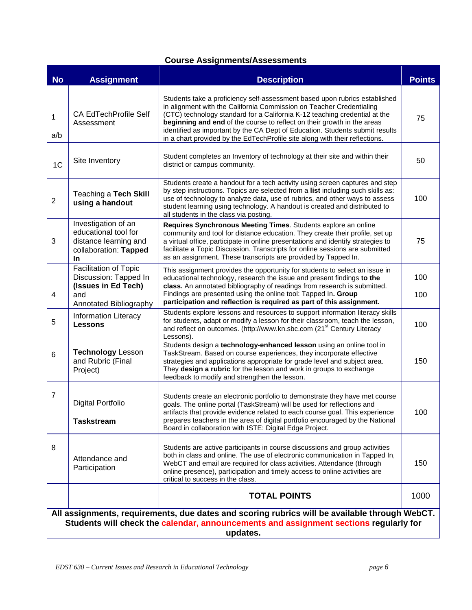# **Course Assignments/Assessments**

| <b>No</b>                                                                                                                                                                                          | <b>Assignment</b>                                                                                      | <b>Description</b>                                                                                                                                                                                                                                                                                                                                                                                                                                                         | <b>Points</b> |  |  |  |
|----------------------------------------------------------------------------------------------------------------------------------------------------------------------------------------------------|--------------------------------------------------------------------------------------------------------|----------------------------------------------------------------------------------------------------------------------------------------------------------------------------------------------------------------------------------------------------------------------------------------------------------------------------------------------------------------------------------------------------------------------------------------------------------------------------|---------------|--|--|--|
| 1<br>a/b                                                                                                                                                                                           | <b>CA EdTechProfile Self</b><br>Assessment                                                             | Students take a proficiency self-assessment based upon rubrics established<br>in alignment with the California Commission on Teacher Credentialing<br>(CTC) technology standard for a California K-12 teaching credential at the<br>beginning and end of the course to reflect on their growth in the areas<br>identified as important by the CA Dept of Education. Students submit results<br>in a chart provided by the EdTechProfile site along with their reflections. | 75            |  |  |  |
| 1 <sup>C</sup>                                                                                                                                                                                     | Site Inventory                                                                                         | Student completes an Inventory of technology at their site and within their<br>district or campus community.                                                                                                                                                                                                                                                                                                                                                               | 50            |  |  |  |
| $\sqrt{2}$                                                                                                                                                                                         | Teaching a Tech Skill<br>using a handout                                                               | Students create a handout for a tech activity using screen captures and step<br>by step instructions. Topics are selected from a list including such skills as:<br>use of technology to analyze data, use of rubrics, and other ways to assess<br>student learning using technology. A handout is created and distributed to<br>all students in the class via posting.                                                                                                     | 100           |  |  |  |
| 3                                                                                                                                                                                                  | Investigation of an<br>educational tool for<br>distance learning and<br>collaboration: Tapped<br>In    | Requires Synchronous Meeting Times. Students explore an online<br>community and tool for distance education. They create their profile, set up<br>a virtual office, participate in online presentations and identify strategies to<br>facilitate a Topic Discussion. Transcripts for online sessions are submitted<br>as an assignment. These transcripts are provided by Tapped In.                                                                                       | 75            |  |  |  |
| 4                                                                                                                                                                                                  | Facilitation of Topic<br>Discussion: Tapped In<br>(Issues in Ed Tech)<br>and<br>Annotated Bibliography | This assignment provides the opportunity for students to select an issue in<br>educational technology, research the issue and present findings to the<br>class. An annotated bibliography of readings from research is submitted.<br>Findings are presented using the online tool: Tapped In. Group<br>participation and reflection is required as part of this assignment.                                                                                                | 100<br>100    |  |  |  |
| 5                                                                                                                                                                                                  | <b>Information Literacy</b><br><b>Lessons</b>                                                          | Students explore lessons and resources to support information literacy skills<br>for students, adapt or modify a lesson for their classroom, teach the lesson,<br>and reflect on outcomes. (http://www.kn.sbc.com (21 <sup>st</sup> Century Literacy<br>Lessons).                                                                                                                                                                                                          | 100           |  |  |  |
| 6                                                                                                                                                                                                  | <b>Technology Lesson</b><br>and Rubric (Final<br>Project)                                              | Students design a technology-enhanced lesson using an online tool in<br>TaskStream. Based on course experiences, they incorporate effective<br>strategies and applications appropriate for grade level and subject area.<br>They design a rubric for the lesson and work in groups to exchange<br>feedback to modify and strengthen the lesson.                                                                                                                            | 150           |  |  |  |
| $\overline{7}$                                                                                                                                                                                     | <b>Digital Portfolio</b><br><b>Taskstream</b>                                                          | Students create an electronic portfolio to demonstrate they have met course<br>goals. The online portal (TaskStream) will be used for reflections and<br>artifacts that provide evidence related to each course goal. This experience<br>prepares teachers in the area of digital portfolio encouraged by the National<br>Board in collaboration with ISTE: Digital Edge Project.                                                                                          | 100           |  |  |  |
| 8                                                                                                                                                                                                  | Attendance and<br>Participation                                                                        | Students are active participants in course discussions and group activities<br>both in class and online. The use of electronic communication in Tapped In,<br>WebCT and email are required for class activities. Attendance (through<br>online presence), participation and timely access to online activities are<br>critical to success in the class.                                                                                                                    | 150           |  |  |  |
|                                                                                                                                                                                                    |                                                                                                        | <b>TOTAL POINTS</b>                                                                                                                                                                                                                                                                                                                                                                                                                                                        | 1000          |  |  |  |
| All assignments, requirements, due dates and scoring rubrics will be available through WebCT.<br>Students will check the calendar, announcements and assignment sections regularly for<br>updates. |                                                                                                        |                                                                                                                                                                                                                                                                                                                                                                                                                                                                            |               |  |  |  |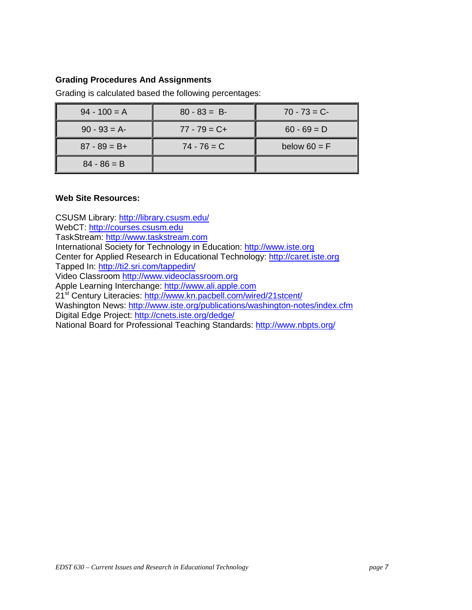## **Grading Procedures And Assignments**

| $94 - 100 = A$  | $80 - 83 = B$   | $70 - 73 = C$  |
|-----------------|-----------------|----------------|
| $90 - 93 = A$   | $77 - 79 = C +$ | $60 - 69 = D$  |
| $87 - 89 = B +$ | $74 - 76 = C$   | below $60 = F$ |
| $84 - 86 = B$   |                 |                |

Grading is calculated based the following percentages:

#### **Web Site Resources:**

CSUSM Library: http://library.csusm.edu/ WebCT: http://courses.csusm.edu TaskStream: http://www.taskstream.com International Society for Technology in Education: http://www.iste.org Center for Applied Research in Educational Technology: http://caret.iste.org Tapped In: http://ti2.sri.com/tappedin/ Video Classroom http://www.videoclassroom.org Apple Learning Interchange: http://www.ali.apple.com 21<sup>st</sup> Century Literacies: http://www.kn.pacbell.com/wired/21stcent/ Washington News: http://www.iste.org/publications/washington-notes/index.cfm Digital Edge Project: http://cnets.iste.org/dedge/ National Board for Professional Teaching Standards: http://www.nbpts.org/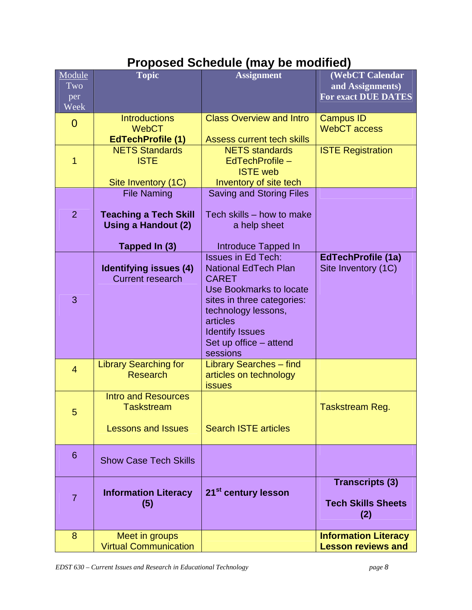# **Proposed Schedule (may be modified)**

| Module<br>Two<br>per<br>Week | <b>Topic</b>                                                                               | <b>Assignment</b>                                                                                                                                                                                                                           | (WebCT Calendar<br>and Assignments)<br><b>For exact DUE DATES</b> |
|------------------------------|--------------------------------------------------------------------------------------------|---------------------------------------------------------------------------------------------------------------------------------------------------------------------------------------------------------------------------------------------|-------------------------------------------------------------------|
| $\overline{0}$               | <b>Introductions</b><br><b>WebCT</b><br><b>EdTechProfile (1)</b>                           | <b>Class Overview and Intro</b><br><b>Assess current tech skills</b>                                                                                                                                                                        | <b>Campus ID</b><br><b>WebCT</b> access                           |
| 1                            | <b>NETS Standards</b><br><b>ISTE</b><br>Site Inventory (1C)                                | <b>NETS</b> standards<br>EdTechProfile -<br><b>ISTE web</b><br>Inventory of site tech                                                                                                                                                       | <b>ISTE Registration</b>                                          |
| $\overline{2}$               | <b>File Naming</b><br><b>Teaching a Tech Skill</b><br>Using a Handout (2)<br>Tapped In (3) | <b>Saving and Storing Files</b><br>Tech skills - how to make<br>a help sheet<br>Introduce Tapped In                                                                                                                                         |                                                                   |
| 3                            | <b>Identifying issues (4)</b><br><b>Current research</b>                                   | <b>Issues in Ed Tech:</b><br><b>National EdTech Plan</b><br><b>CARET</b><br><b>Use Bookmarks to locate</b><br>sites in three categories:<br>technology lessons,<br>articles<br><b>Identify Issues</b><br>Set up office - attend<br>sessions | <b>EdTechProfile (1a)</b><br>Site Inventory (1C)                  |
| $\overline{4}$               | <b>Library Searching for</b><br><b>Research</b>                                            | <b>Library Searches - find</b><br>articles on technology<br><b>issues</b>                                                                                                                                                                   |                                                                   |
| 5                            | <b>Intro and Resources</b><br><b>Taskstream</b><br><b>Lessons and Issues</b>               | <b>Search ISTE articles</b>                                                                                                                                                                                                                 | Taskstream Reg.                                                   |
| 6                            | <b>Show Case Tech Skills</b>                                                               |                                                                                                                                                                                                                                             |                                                                   |
| $\overline{7}$               | <b>Information Literacy</b><br>(5)                                                         | 21 <sup>st</sup> century lesson                                                                                                                                                                                                             | <b>Transcripts (3)</b><br><b>Tech Skills Sheets</b><br>(2)        |
| 8                            | Meet in groups<br><b>Virtual Communication</b>                                             |                                                                                                                                                                                                                                             | <b>Information Literacy</b><br><b>Lesson reviews and</b>          |